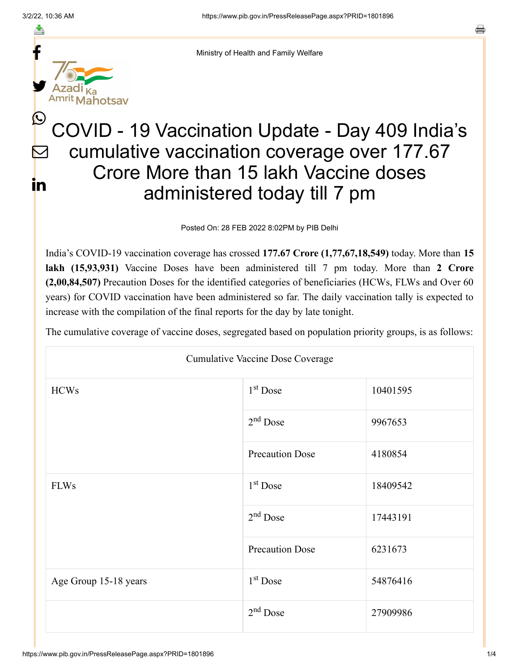$\bm{\mathcal{Q}}$ 

<u>in</u>

≛ f y. ka<br>lahotsav

Ministry of Health and Family Welfare

## COVID - 19 Vaccination Update - Day 409 India's cumulative vaccination coverage over 177.67 Crore More than 15 lakh Vaccine doses administered today till 7 pm  $\bm{\nabla}$

Posted On: 28 FEB 2022 8:02PM by PIB Delhi

India's COVID-19 vaccination coverage has crossed **177.67 Crore (1,77,67,18,549)** today. More than **15 lakh (15,93,931)** Vaccine Doses have been administered till 7 pm today. More than **2 Crore (2,00,84,507)** Precaution Doses for the identified categories of beneficiaries (HCWs, FLWs and Over 60 years) for COVID vaccination have been administered so far. The daily vaccination tally is expected to increase with the compilation of the final reports for the day by late tonight.

The cumulative coverage of vaccine doses, segregated based on population priority groups, is as follows:

| <b>Cumulative Vaccine Dose Coverage</b> |                        |          |
|-----------------------------------------|------------------------|----------|
| <b>HCWs</b>                             | $1st$ Dose             | 10401595 |
|                                         | $2nd$ Dose             | 9967653  |
|                                         | <b>Precaution Dose</b> | 4180854  |
| <b>FLWs</b>                             | $1st$ Dose             | 18409542 |
|                                         | $2nd$ Dose             | 17443191 |
|                                         | <b>Precaution Dose</b> | 6231673  |
| Age Group 15-18 years                   | $1st$ Dose             | 54876416 |
|                                         | $2nd$ Dose             | 27909986 |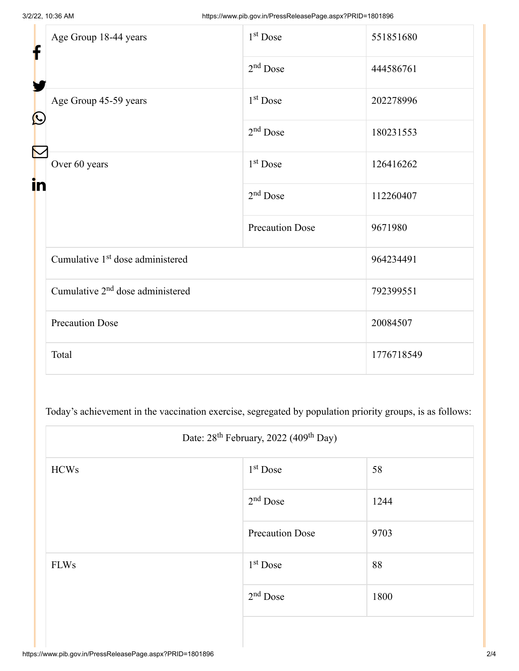| f                 | Age Group 18-44 years                        | $1st$ Dose             | 551851680  |
|-------------------|----------------------------------------------|------------------------|------------|
|                   |                                              | $2nd$ Dose             | 444586761  |
|                   | Age Group 45-59 years                        | $1st$ Dose             | 202278996  |
| $\mathbf{\Omega}$ |                                              | $2nd$ Dose             | 180231553  |
|                   | Over 60 years                                | $1st$ Dose             | 126416262  |
|                   |                                              | $2nd$ Dose             | 112260407  |
|                   |                                              | <b>Precaution Dose</b> | 9671980    |
|                   | Cumulative 1 <sup>st</sup> dose administered |                        | 964234491  |
|                   | Cumulative 2 <sup>nd</sup> dose administered |                        | 792399551  |
|                   | <b>Precaution Dose</b>                       |                        | 20084507   |
|                   | Total                                        |                        | 1776718549 |

Today's achievement in the vaccination exercise, segregated by population priority groups, is as follows:

|             | Date: 28 <sup>th</sup> February, 2022 (409 <sup>th</sup> Day) |      |  |
|-------------|---------------------------------------------------------------|------|--|
| <b>HCWs</b> | 1 <sup>st</sup> Dose                                          | 58   |  |
|             | $2nd$ Dose                                                    | 1244 |  |
|             | <b>Precaution Dose</b>                                        | 9703 |  |
| <b>FLWs</b> | $1st$ Dose                                                    | 88   |  |
|             | $2nd$ Dose                                                    | 1800 |  |
|             |                                                               |      |  |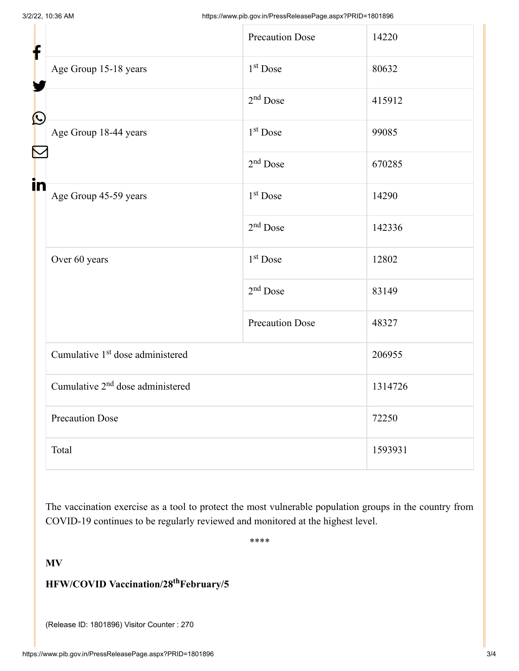| f          |                                              | <b>Precaution Dose</b> | 14220   |
|------------|----------------------------------------------|------------------------|---------|
|            | Age Group 15-18 years                        | 1 <sup>st</sup> Dose   | 80632   |
|            |                                              | $2nd$ Dose             | 415912  |
| $\bigcirc$ | Age Group 18-44 years                        | 1 <sup>st</sup> Dose   | 99085   |
|            |                                              | $2nd$ Dose             | 670285  |
| in         | Age Group 45-59 years                        | 1 <sup>st</sup> Dose   | 14290   |
|            |                                              | $2nd$ Dose             | 142336  |
|            | Over 60 years                                | 1 <sup>st</sup> Dose   | 12802   |
|            |                                              | $2nd$ Dose             | 83149   |
|            |                                              | <b>Precaution Dose</b> | 48327   |
|            | Cumulative 1 <sup>st</sup> dose administered |                        | 206955  |
|            | Cumulative 2 <sup>nd</sup> dose administered |                        | 1314726 |
|            | <b>Precaution Dose</b>                       |                        | 72250   |
|            | Total                                        |                        | 1593931 |

The vaccination exercise as a tool to protect the most vulnerable population groups in the country from COVID-19 continues to be regularly reviewed and monitored at the highest level.

\*\*\*\*

## **MV**

## **HFW/COVID Vaccination/28 February/5 th**

(Release ID: 1801896) Visitor Counter : 270